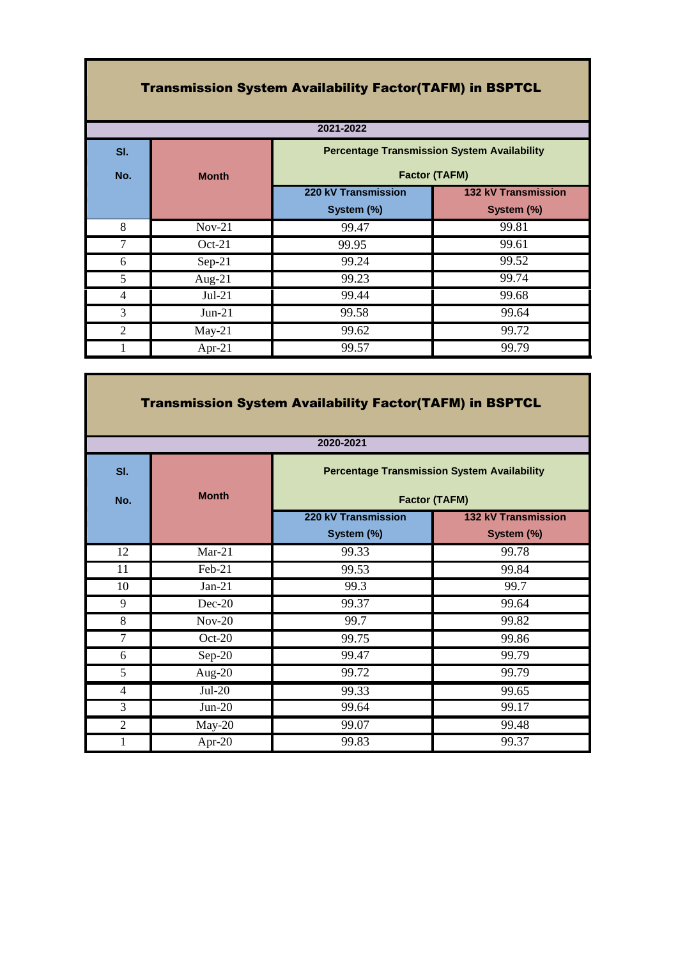## Transmission System Availability Factor(TAFM) in BSPTCL

| 2021-2022      |              |                                                                            |                     |
|----------------|--------------|----------------------------------------------------------------------------|---------------------|
| SI.            |              | <b>Percentage Transmission System Availability</b><br><b>Factor (TAFM)</b> |                     |
| No.            | <b>Month</b> |                                                                            |                     |
|                |              | 220 kV Transmission                                                        | 132 kV Transmission |
|                |              | System (%)                                                                 | System (%)          |
| 8              | $Nov-21$     | 99.47                                                                      | 99.81               |
|                | $Oct-21$     | 99.95                                                                      | 99.61               |
| 6              | $Sep-21$     | 99.24                                                                      | 99.52               |
| 5              | Aug- $21$    | 99.23                                                                      | 99.74               |
| 4              | $Jul-21$     | 99.44                                                                      | 99.68               |
| 3              | $Jun-21$     | 99.58                                                                      | 99.64               |
| $\overline{2}$ | $May-21$     | 99.62                                                                      | 99.72               |
|                | Apr-21       | 99.57                                                                      | 99.79               |

**The Co** 

| <b>Transmission System Availability Factor(TAFM) in BSPTCL</b> |              |                                                                            |                                   |
|----------------------------------------------------------------|--------------|----------------------------------------------------------------------------|-----------------------------------|
|                                                                |              | 2020-2021                                                                  |                                   |
| SI.<br>No.                                                     | <b>Month</b> | <b>Percentage Transmission System Availability</b><br><b>Factor (TAFM)</b> |                                   |
|                                                                |              | 220 kV Transmission<br>System (%)                                          | 132 kV Transmission<br>System (%) |
| 12                                                             | $Mar-21$     | 99.33                                                                      | 99.78                             |
| 11                                                             | Feb-21       | 99.53                                                                      | 99.84                             |
| 10                                                             | $Jan-21$     | 99.3                                                                       | 99.7                              |
| 9                                                              | $Dec-20$     | 99.37                                                                      | 99.64                             |
| 8                                                              | $Nov-20$     | 99.7                                                                       | 99.82                             |
| $\tau$                                                         | $Oct-20$     | 99.75                                                                      | 99.86                             |
| 6                                                              | $Sep-20$     | 99.47                                                                      | 99.79                             |
| 5                                                              | Aug- $20$    | 99.72                                                                      | 99.79                             |
| $\overline{4}$                                                 | $Jul-20$     | 99.33                                                                      | 99.65                             |
| 3                                                              | $Jun-20$     | 99.64                                                                      | 99.17                             |
| $\overline{2}$                                                 | $May-20$     | 99.07                                                                      | 99.48                             |
| 1                                                              | Apr-20       | 99.83                                                                      | 99.37                             |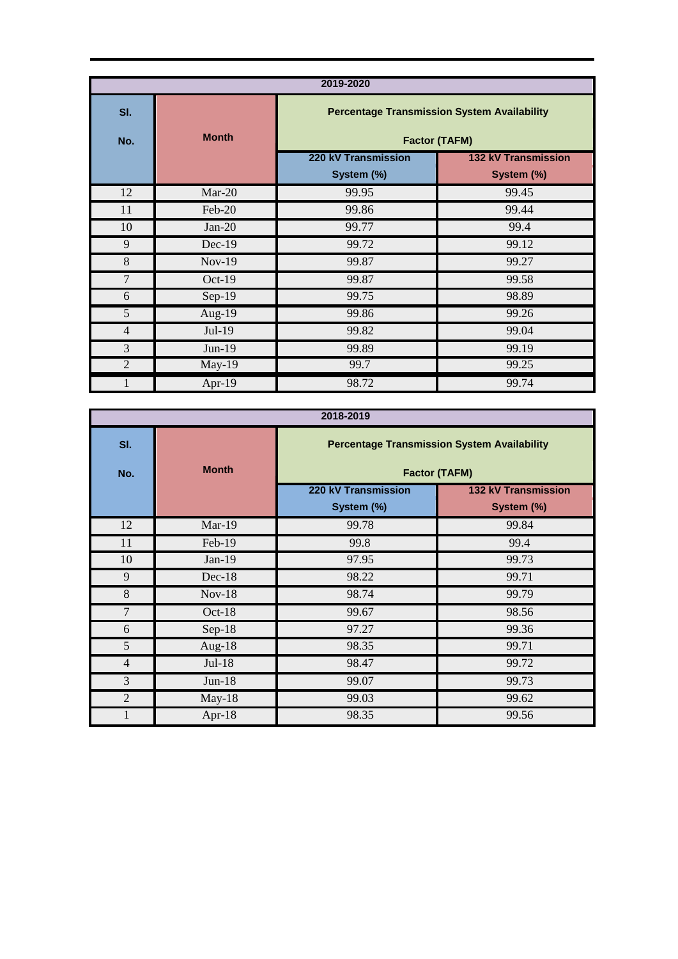| 2019-2020      |              |                                                                            |                                   |
|----------------|--------------|----------------------------------------------------------------------------|-----------------------------------|
| SI.<br>No.     | <b>Month</b> | <b>Percentage Transmission System Availability</b><br><b>Factor (TAFM)</b> |                                   |
|                |              | 220 kV Transmission<br>System (%)                                          | 132 kV Transmission<br>System (%) |
| 12             | $Mar-20$     | 99.95                                                                      | 99.45                             |
| 11             | Feb-20       | 99.86                                                                      | 99.44                             |
| 10             | $Jan-20$     | 99.77                                                                      | 99.4                              |
| 9              | $Dec-19$     | 99.72                                                                      | 99.12                             |
| 8              | $Nov-19$     | 99.87                                                                      | 99.27                             |
| 7              | $Oct-19$     | 99.87                                                                      | 99.58                             |
| 6              | $Sep-19$     | 99.75                                                                      | 98.89                             |
| 5              | Aug- $19$    | 99.86                                                                      | 99.26                             |
| $\overline{4}$ | Jul-19       | 99.82                                                                      | 99.04                             |
| 3              | $Jun-19$     | 99.89                                                                      | 99.19                             |
| $\overline{2}$ | $May-19$     | 99.7                                                                       | 99.25                             |
|                | Apr-19       | 98.72                                                                      | 99.74                             |

| 2018-2019      |              |                                                                            |                            |
|----------------|--------------|----------------------------------------------------------------------------|----------------------------|
| SI.<br>No.     | <b>Month</b> | <b>Percentage Transmission System Availability</b><br><b>Factor (TAFM)</b> |                            |
|                |              | 220 kV Transmission                                                        | <b>132 kV Transmission</b> |
|                |              | System (%)                                                                 | System (%)                 |
| 12             | Mar-19       | 99.78                                                                      | 99.84                      |
| 11             | Feb-19       | 99.8                                                                       | 99.4                       |
| 10             | $Jan-19$     | 97.95                                                                      | 99.73                      |
| 9              | $Dec-18$     | 98.22                                                                      | 99.71                      |
| 8              | $Nov-18$     | 98.74                                                                      | 99.79                      |
| $\overline{7}$ | Oct-18       | 99.67                                                                      | 98.56                      |
| 6              | $Sep-18$     | 97.27                                                                      | 99.36                      |
| 5              | Aug- $18$    | 98.35                                                                      | 99.71                      |
| $\overline{4}$ | $Jul-18$     | 98.47                                                                      | 99.72                      |
| 3              | $Jun-18$     | 99.07                                                                      | 99.73                      |
| 2              | May-18       | 99.03                                                                      | 99.62                      |
|                | Apr-18       | 98.35                                                                      | 99.56                      |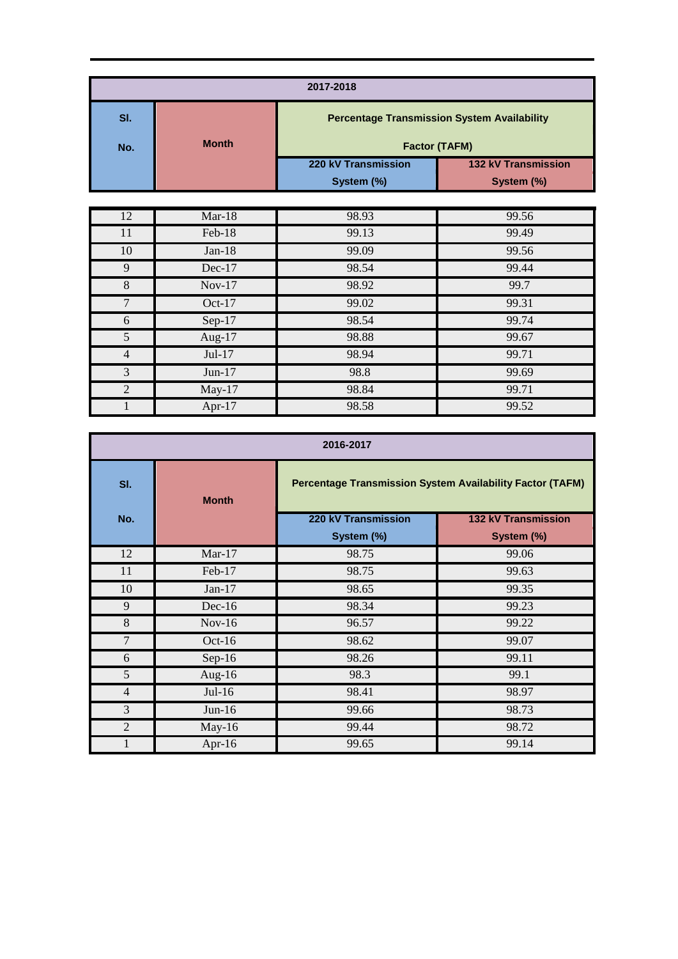| 2017-2018      |              |                                                                            |                            |
|----------------|--------------|----------------------------------------------------------------------------|----------------------------|
| SI.            |              | <b>Percentage Transmission System Availability</b><br><b>Factor (TAFM)</b> |                            |
| No.            | <b>Month</b> |                                                                            |                            |
|                |              | 220 kV Transmission                                                        | <b>132 kV Transmission</b> |
|                |              | System (%)                                                                 | System (%)                 |
|                |              |                                                                            |                            |
| 12             | $Mar-18$     | 98.93                                                                      | 99.56                      |
| 11             | Feb-18       | 99.13                                                                      | 99.49                      |
| 10             | $Jan-18$     | 99.09                                                                      | 99.56                      |
| 9              | Dec-17       | 98.54                                                                      | 99.44                      |
| 8              | $Nov-17$     | 98.92                                                                      | 99.7                       |
| $\overline{7}$ | Oct-17       | 99.02                                                                      | 99.31                      |
| 6              | $Sep-17$     | 98.54                                                                      | 99.74                      |
| 5              | Aug-17       | 98.88                                                                      | 99.67                      |
| $\overline{4}$ | Jul-17       | 98.94                                                                      | 99.71                      |
| 3              | $Jun-17$     | 98.8                                                                       | 99.69                      |
| $\overline{2}$ | $May-17$     | 98.84                                                                      | 99.71                      |

1 Apr-17 98.58 99.52

| 2016-2017      |              |                     |                                                                  |
|----------------|--------------|---------------------|------------------------------------------------------------------|
| SI.            | <b>Month</b> |                     | <b>Percentage Transmission System Availability Factor (TAFM)</b> |
| No.            |              | 220 kV Transmission | <b>132 kV Transmission</b>                                       |
|                |              | System (%)          | System (%)                                                       |
| 12             | $Mar-17$     | 98.75               | 99.06                                                            |
| 11             | Feb-17       | 98.75               | 99.63                                                            |
| 10             | $Jan-17$     | 98.65               | 99.35                                                            |
| 9              | $Dec-16$     | 98.34               | 99.23                                                            |
| 8              | $Nov-16$     | 96.57               | 99.22                                                            |
| $\overline{7}$ | $Oct-16$     | 98.62               | 99.07                                                            |
| 6              | $Sep-16$     | 98.26               | 99.11                                                            |
| 5              | Aug-16       | 98.3                | 99.1                                                             |
| $\overline{4}$ | $Jul-16$     | 98.41               | 98.97                                                            |
| 3              | $Jun-16$     | 99.66               | 98.73                                                            |
| $\overline{2}$ | $May-16$     | 99.44               | 98.72                                                            |
| 1              | Apr-16       | 99.65               | 99.14                                                            |